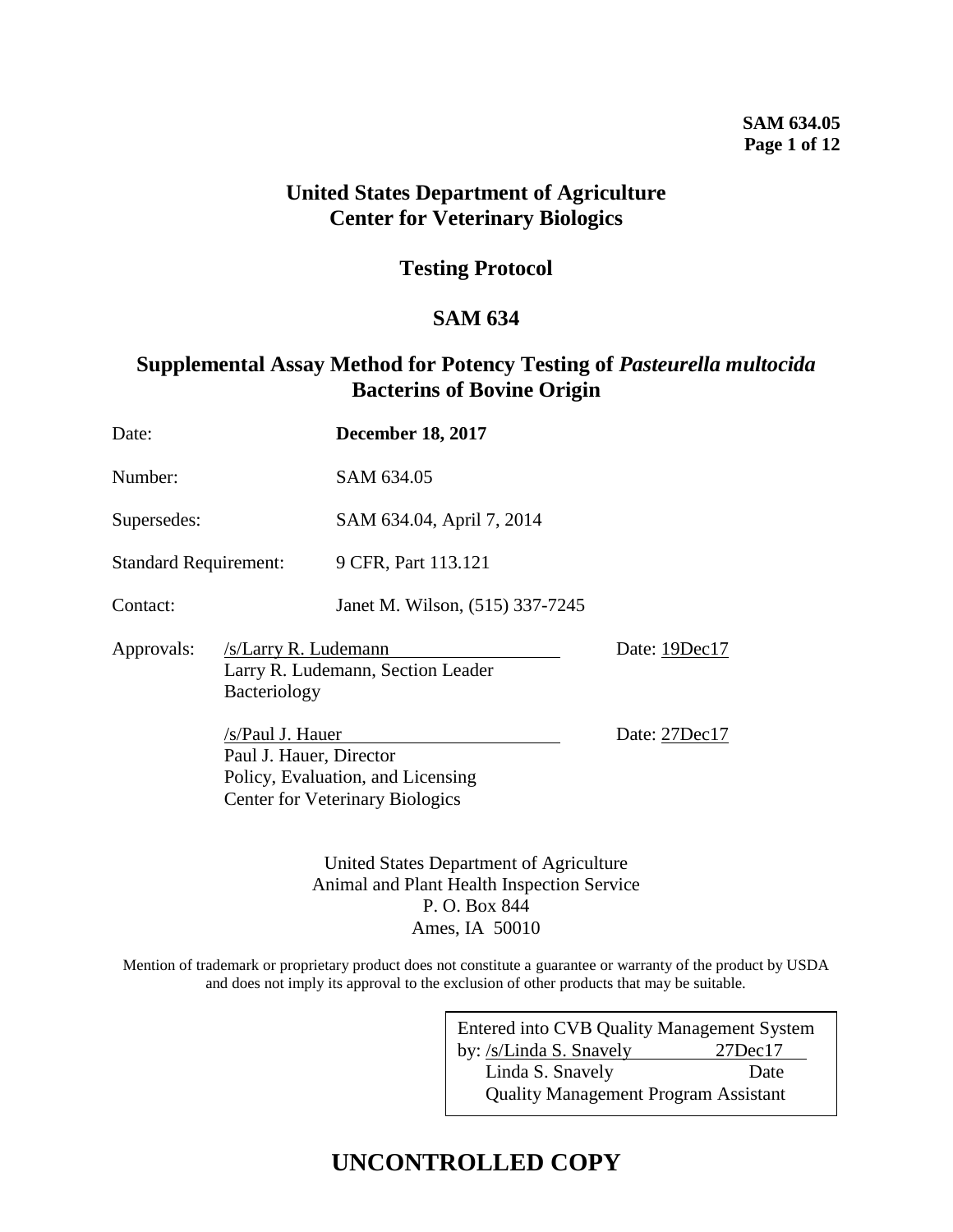## **SAM 634.05 Page 1 of 12**

## **United States Department of Agriculture Center for Veterinary Biologics**

## **Testing Protocol**

## **SAM 634**

## **Supplemental Assay Method for Potency Testing of** *Pasteurella multocida* **Bacterins of Bovine Origin**

| Date:                        |                                                                                                                            | <b>December 18, 2017</b>                |               |  |
|------------------------------|----------------------------------------------------------------------------------------------------------------------------|-----------------------------------------|---------------|--|
| Number:                      |                                                                                                                            | SAM 634.05                              |               |  |
| Supersedes:                  |                                                                                                                            | SAM 634.04, April 7, 2014               |               |  |
| <b>Standard Requirement:</b> |                                                                                                                            | 9 CFR, Part 113.121                     |               |  |
| Contact:                     |                                                                                                                            | Janet M. Wilson, (515) 337-7245         |               |  |
| Approvals:                   | /s/Larry R. Ludemann<br><b>Bacteriology</b>                                                                                | Larry R. Ludemann, Section Leader       | Date: 19Dec17 |  |
|                              | /s/Paul J. Hauer<br>Paul J. Hauer, Director<br>Policy, Evaluation, and Licensing<br><b>Center for Veterinary Biologics</b> |                                         | Date: 27Dec17 |  |
|                              |                                                                                                                            | United States Department of Agriculture |               |  |

Animal and Plant Health Inspection Service P. O. Box 844 Ames, IA 50010

Mention of trademark or proprietary product does not constitute a guarantee or warranty of the product by USDA and does not imply its approval to the exclusion of other products that may be suitable.

> Entered into CVB Quality Management System by: /s/Linda S. Snavely 27Dec17 Linda S. Snavely Date Quality Management Program Assistant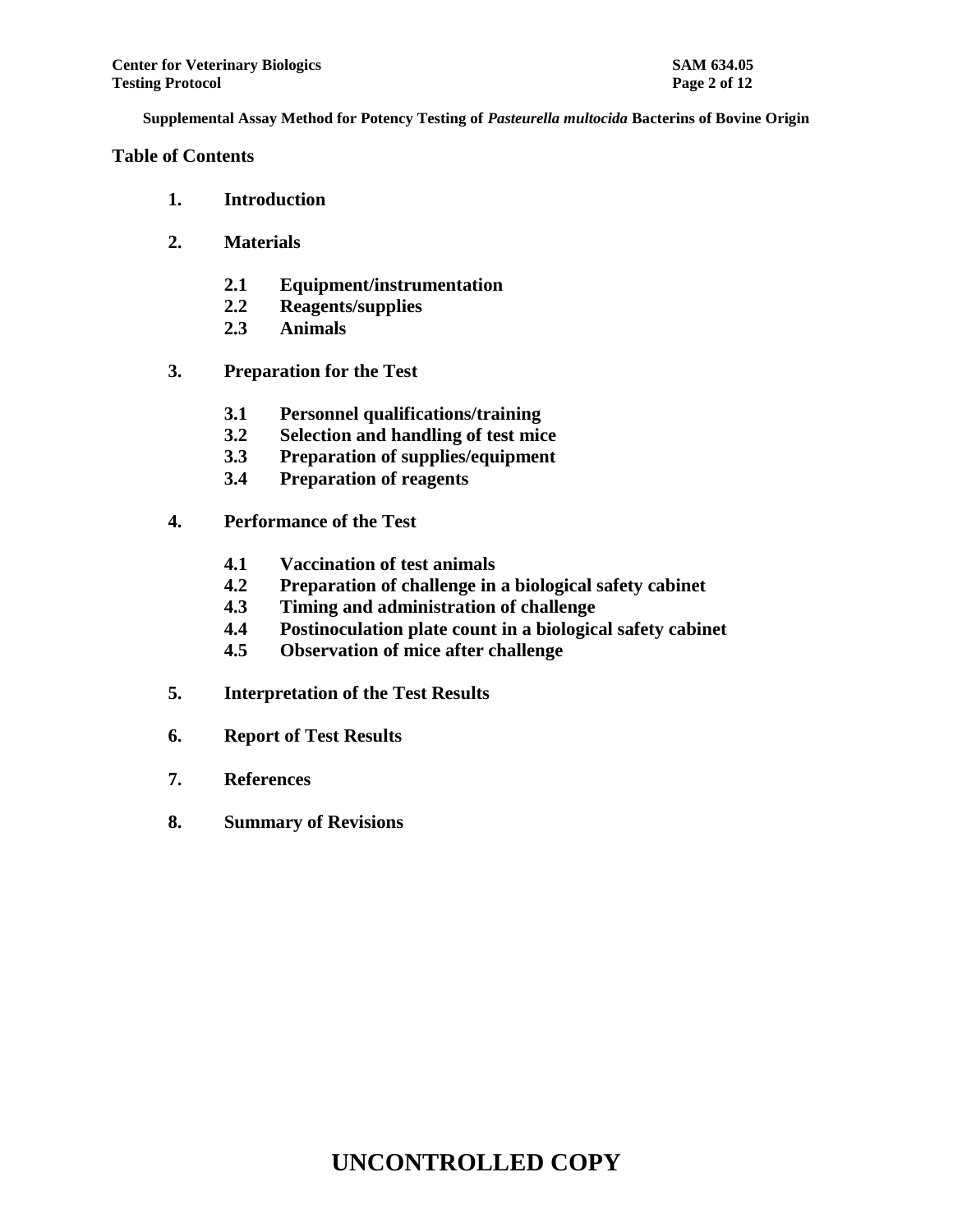## **Table of Contents**

- **1. Introduction**
- **2. Materials**
	- **2.1 Equipment/instrumentation**
	- **2.2 Reagents/supplies**
	- **2.3 Animals**
- **3. Preparation for the Test**
	- **3.1 Personnel qualifications/training**
	- **3.2 Selection and handling of test mice**
	- **3.3 Preparation of supplies/equipment**
	- **3.4 Preparation of reagents**
- **4. Performance of the Test**
	- **4.1 Vaccination of test animals**
	- **4.2 Preparation of challenge in a biological safety cabinet**
	- **4.3 Timing and administration of challenge**
	- **4.4 Postinoculation plate count in a biological safety cabinet**
	- **4.5 Observation of mice after challenge**
- **5. Interpretation of the Test Results**
- **6. Report of Test Results**
- **7. References**
- **8. Summary of Revisions**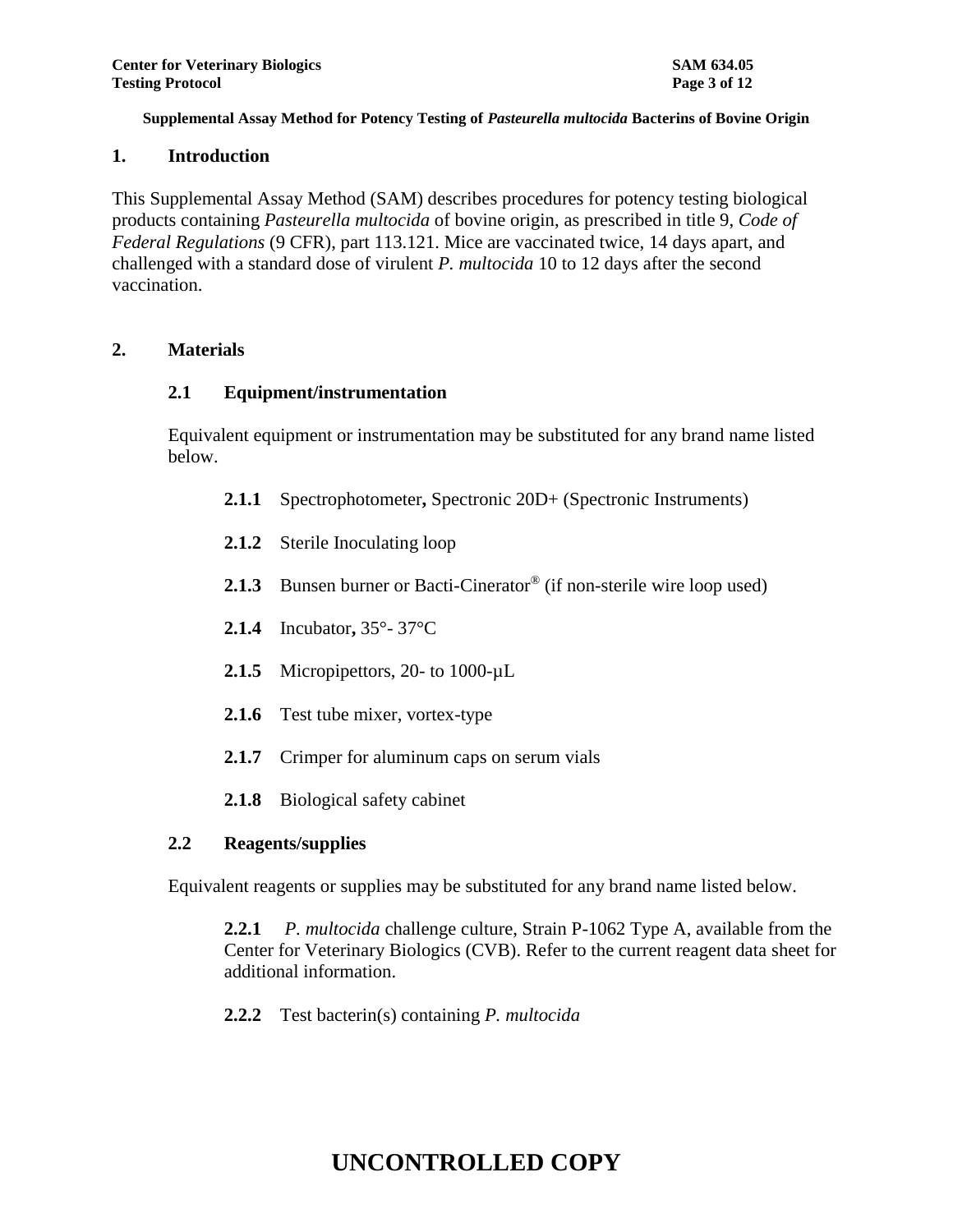### **1. Introduction**

This Supplemental Assay Method (SAM) describes procedures for potency testing biological products containing *Pasteurella multocida* of bovine origin, as prescribed in title 9, *Code of Federal Regulations* (9 CFR), part 113.121. Mice are vaccinated twice, 14 days apart, and challenged with a standard dose of virulent *P. multocida* 10 to 12 days after the second vaccination.

## **2. Materials**

### **2.1 Equipment/instrumentation**

Equivalent equipment or instrumentation may be substituted for any brand name listed below.

- **2.1.1** Spectrophotometer**,** Spectronic 20D+ (Spectronic Instruments)
- **2.1.2** Sterile Inoculating loop
- 2.1.3 Bunsen burner or Bacti-Cinerator<sup>®</sup> (if non-sterile wire loop used)
- **2.1.4** Incubator**,** 35°- 37°C
- 2.1.5 Micropipettors, 20- to 1000-µL
- **2.1.6** Test tube mixer, vortex-type
- **2.1.7** Crimper for aluminum caps on serum vials
- **2.1.8** Biological safety cabinet

## **2.2 Reagents/supplies**

Equivalent reagents or supplies may be substituted for any brand name listed below.

**2.2.1** *P. multocida* challenge culture, Strain P-1062 Type A, available from the Center for Veterinary Biologics (CVB). Refer to the current reagent data sheet for additional information.

**2.2.2** Test bacterin(s) containing *P. multocida*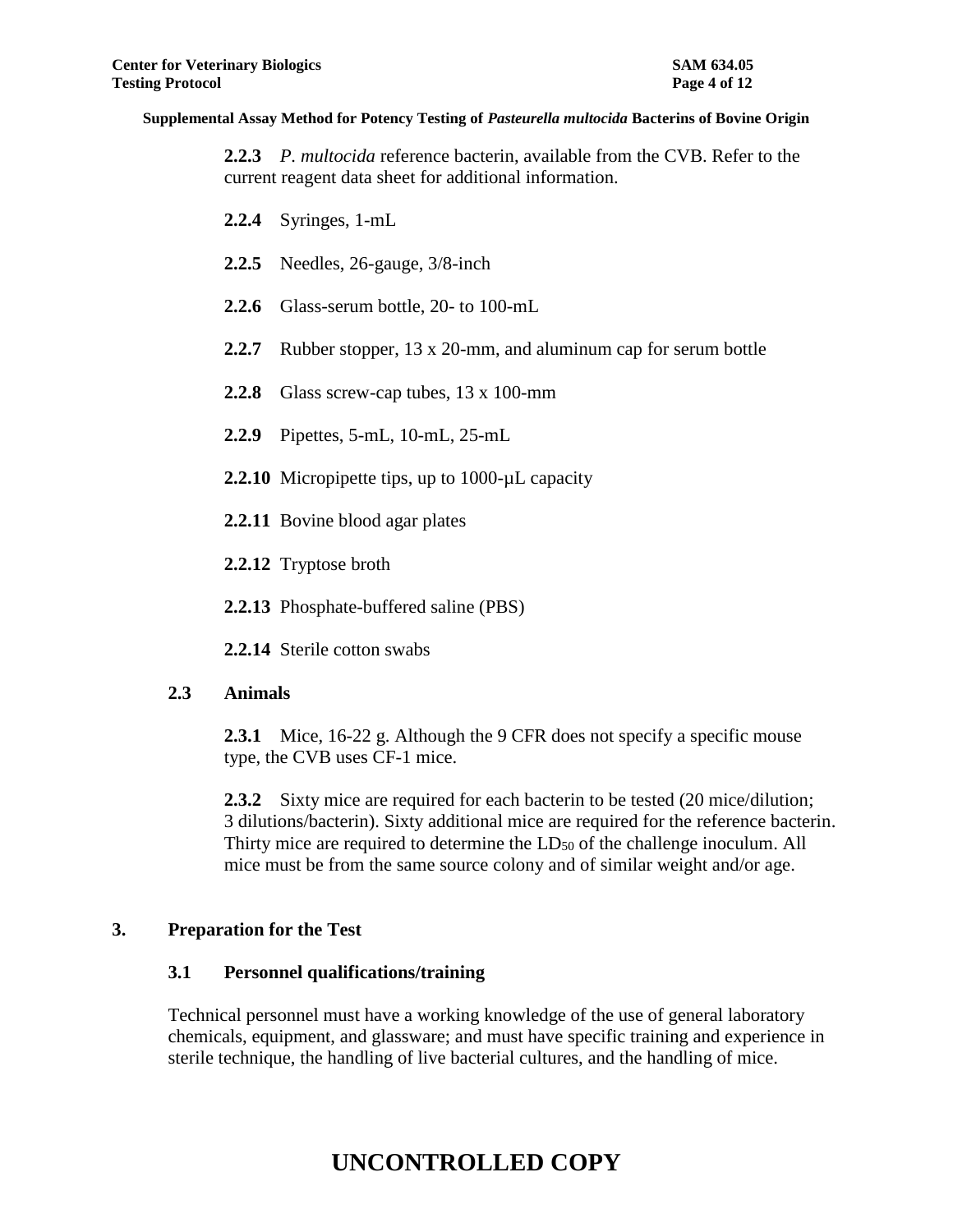**2.2.3** *P. multocida* reference bacterin, available from the CVB. Refer to the current reagent data sheet for additional information.

- **2.2.4** Syringes, 1-mL
- **2.2.5** Needles, 26-gauge, 3/8-inch
- **2.2.6** Glass-serum bottle, 20- to 100-mL
- **2.2.7** Rubber stopper, 13 x 20-mm, and aluminum cap for serum bottle
- **2.2.8** Glass screw-cap tubes, 13 x 100-mm
- **2.2.9** Pipettes, 5-mL, 10-mL, 25-mL
- **2.2.10** Micropipette tips, up to 1000-µL capacity
- **2.2.11** Bovine blood agar plates
- **2.2.12** Tryptose broth
- **2.2.13** Phosphate-buffered saline (PBS)
- **2.2.14** Sterile cotton swabs

## **2.3 Animals**

**2.3.1** Mice, 16-22 g. Although the 9 CFR does not specify a specific mouse type, the CVB uses CF-1 mice.

**2.3.2** Sixty mice are required for each bacterin to be tested (20 mice/dilution; 3 dilutions/bacterin). Sixty additional mice are required for the reference bacterin. Thirty mice are required to determine the LD<sub>50</sub> of the challenge inoculum. All mice must be from the same source colony and of similar weight and/or age.

## **3. Preparation for the Test**

## **3.1 Personnel qualifications/training**

Technical personnel must have a working knowledge of the use of general laboratory chemicals, equipment, and glassware; and must have specific training and experience in sterile technique, the handling of live bacterial cultures, and the handling of mice.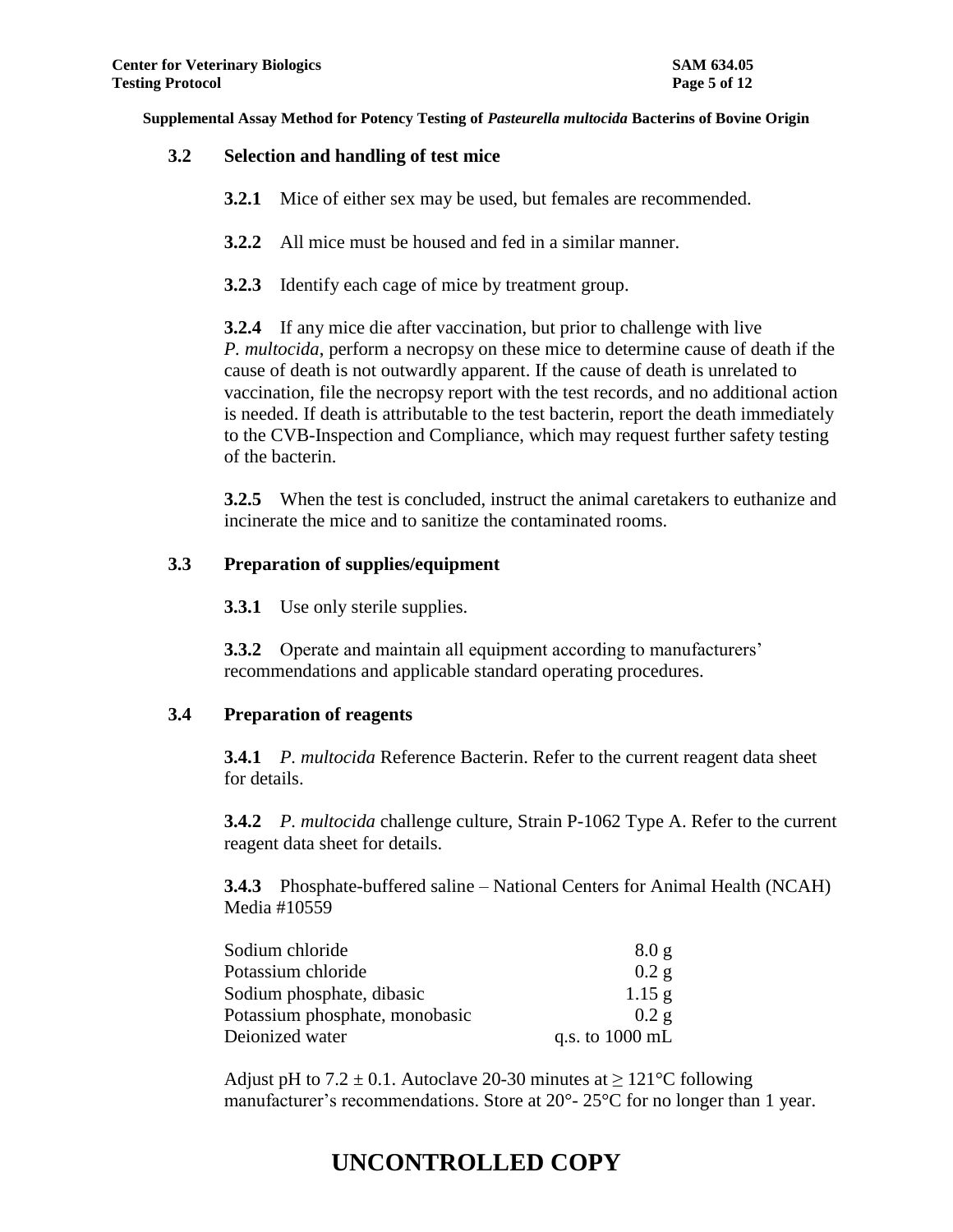### **3.2 Selection and handling of test mice**

- **3.2.1** Mice of either sex may be used, but females are recommended.
- **3.2.2** All mice must be housed and fed in a similar manner.
- **3.2.3** Identify each cage of mice by treatment group.

**3.2.4** If any mice die after vaccination, but prior to challenge with live *P. multocida*, perform a necropsy on these mice to determine cause of death if the cause of death is not outwardly apparent. If the cause of death is unrelated to vaccination, file the necropsy report with the test records, and no additional action is needed. If death is attributable to the test bacterin, report the death immediately to the CVB-Inspection and Compliance, which may request further safety testing of the bacterin.

**3.2.5** When the test is concluded, instruct the animal caretakers to euthanize and incinerate the mice and to sanitize the contaminated rooms.

## **3.3 Preparation of supplies/equipment**

**3.3.1** Use only sterile supplies.

**3.3.2** Operate and maintain all equipment according to manufacturers' recommendations and applicable standard operating procedures.

## **3.4 Preparation of reagents**

**3.4.1** *P. multocida* Reference Bacterin. Refer to the current reagent data sheet for details.

**3.4.2** *P. multocida* challenge culture, Strain P-1062 Type A. Refer to the current reagent data sheet for details.

**3.4.3** Phosphate-buffered saline – National Centers for Animal Health (NCAH) Media #10559

| Sodium chloride                | 8.0 <sub>g</sub>          |
|--------------------------------|---------------------------|
| Potassium chloride             | 0.2 g                     |
| Sodium phosphate, dibasic      | $1.15$ g                  |
| Potassium phosphate, monobasic | 0.2g                      |
| Deionized water                | q.s. to $1000 \text{ mL}$ |

Adjust pH to  $7.2 \pm 0.1$ . Autoclave 20-30 minutes at  $> 121^{\circ}$ C following manufacturer's recommendations. Store at 20°-25°C for no longer than 1 year.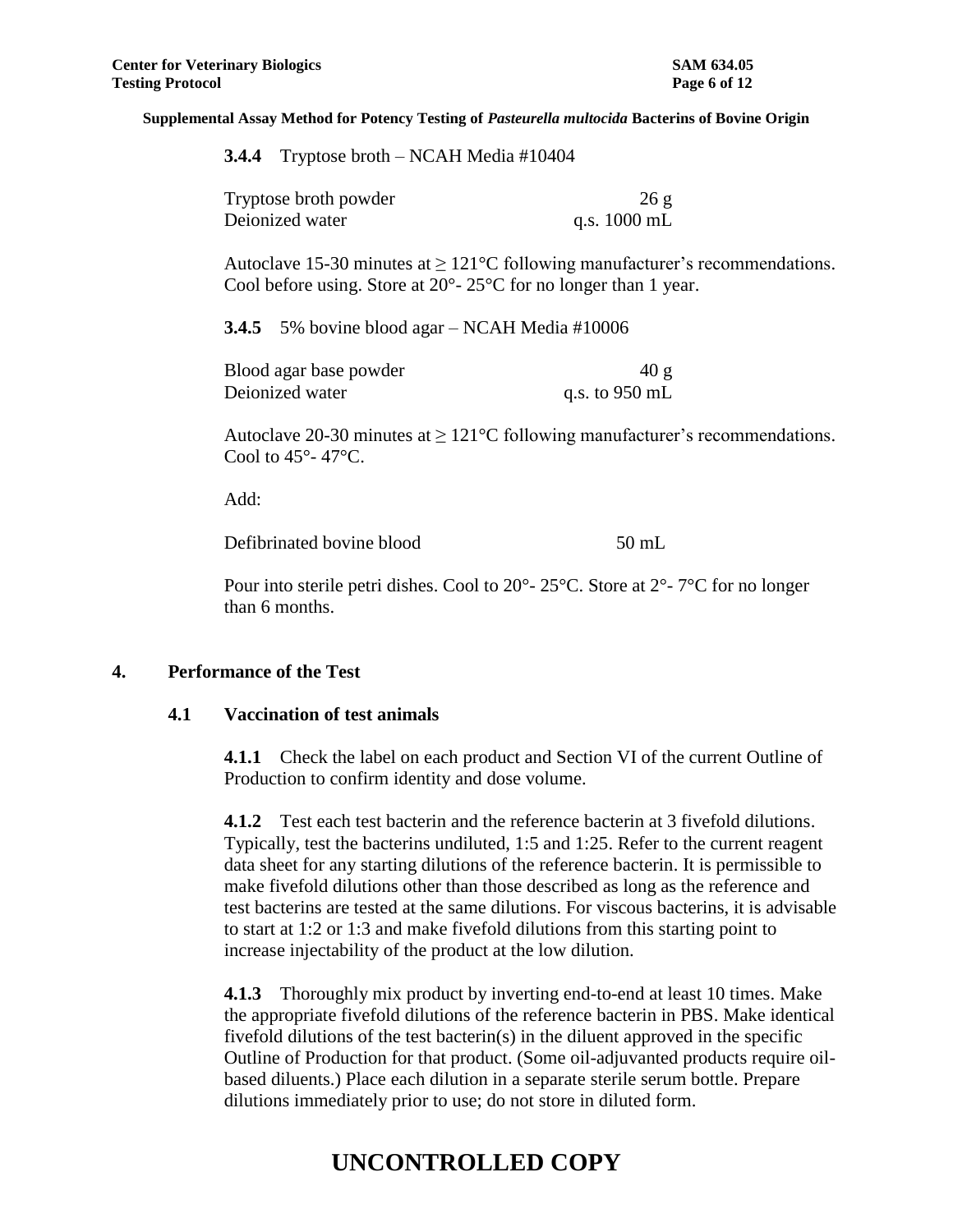| 3.4.4 | Tryptose broth $-$ NCAH Media #10404 |  |  |  |  |
|-------|--------------------------------------|--|--|--|--|
|-------|--------------------------------------|--|--|--|--|

| Tryptose broth powder | 26g                    |
|-----------------------|------------------------|
| Deionized water       | q.s. $1000 \text{ mL}$ |

Autoclave 15-30 minutes at  $\geq 121^{\circ}$ C following manufacturer's recommendations. Cool before using. Store at 20°- 25°C for no longer than 1 year.

**3.4.5** 5% bovine blood agar – NCAH Media #10006

| Blood agar base powder | 40 g           |
|------------------------|----------------|
| Deionized water        | q.s. to 950 mL |

Autoclave 20-30 minutes at  $\geq 121^{\circ}$ C following manufacturer's recommendations. Cool to 45°- 47°C.

Add:

Defibrinated bovine blood 50 mL

Pour into sterile petri dishes. Cool to 20°- 25°C. Store at 2°- 7°C for no longer than 6 months.

#### **4. Performance of the Test**

#### **4.1 Vaccination of test animals**

**4.1.1** Check the label on each product and Section VI of the current Outline of Production to confirm identity and dose volume.

**4.1.2** Test each test bacterin and the reference bacterin at 3 fivefold dilutions. Typically, test the bacterins undiluted, 1:5 and 1:25. Refer to the current reagent data sheet for any starting dilutions of the reference bacterin. It is permissible to make fivefold dilutions other than those described as long as the reference and test bacterins are tested at the same dilutions. For viscous bacterins, it is advisable to start at 1:2 or 1:3 and make fivefold dilutions from this starting point to increase injectability of the product at the low dilution.

**4.1.3** Thoroughly mix product by inverting end-to-end at least 10 times. Make the appropriate fivefold dilutions of the reference bacterin in PBS. Make identical fivefold dilutions of the test bacterin(s) in the diluent approved in the specific Outline of Production for that product. (Some oil-adjuvanted products require oilbased diluents.) Place each dilution in a separate sterile serum bottle. Prepare dilutions immediately prior to use; do not store in diluted form.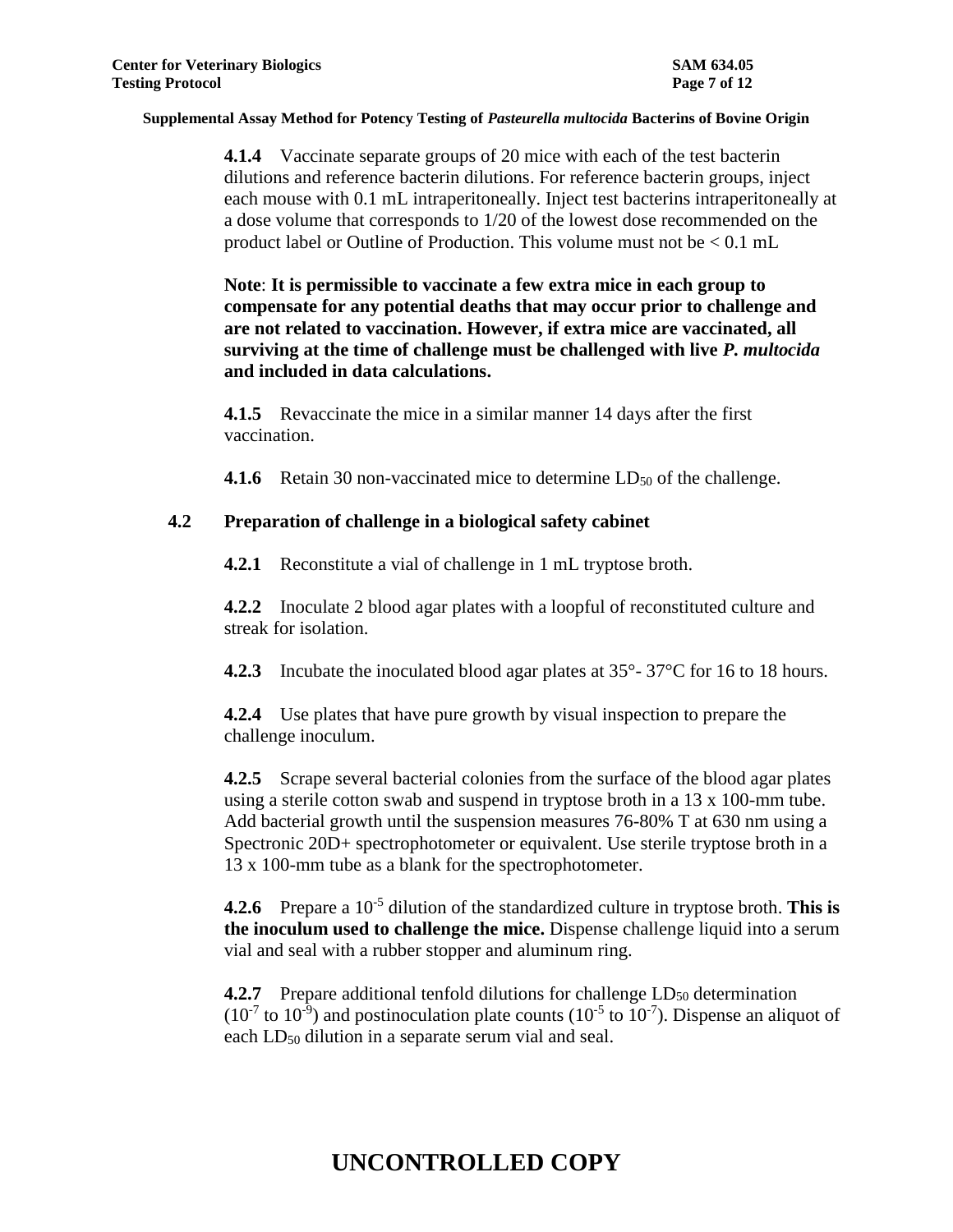**4.1.4** Vaccinate separate groups of 20 mice with each of the test bacterin dilutions and reference bacterin dilutions. For reference bacterin groups, inject each mouse with 0.1 mL intraperitoneally. Inject test bacterins intraperitoneally at a dose volume that corresponds to 1/20 of the lowest dose recommended on the product label or Outline of Production. This volume must not be < 0.1 mL

**Note**: **It is permissible to vaccinate a few extra mice in each group to compensate for any potential deaths that may occur prior to challenge and are not related to vaccination. However, if extra mice are vaccinated, all surviving at the time of challenge must be challenged with live** *P. multocida* **and included in data calculations.**

**4.1.5** Revaccinate the mice in a similar manner 14 days after the first vaccination.

**4.1.6** Retain 30 non-vaccinated mice to determine LD<sub>50</sub> of the challenge.

## **4.2 Preparation of challenge in a biological safety cabinet**

**4.2.1** Reconstitute a vial of challenge in 1 mL tryptose broth.

**4.2.2** Inoculate 2 blood agar plates with a loopful of reconstituted culture and streak for isolation.

**4.2.3** Incubate the inoculated blood agar plates at 35°- 37°C for 16 to 18 hours.

**4.2.4** Use plates that have pure growth by visual inspection to prepare the challenge inoculum.

**4.2.5** Scrape several bacterial colonies from the surface of the blood agar plates using a sterile cotton swab and suspend in tryptose broth in a 13 x 100-mm tube. Add bacterial growth until the suspension measures 76-80% T at 630 nm using a Spectronic 20D+ spectrophotometer or equivalent. Use sterile tryptose broth in a 13 x 100-mm tube as a blank for the spectrophotometer.

**4.2.6** Prepare a 10<sup>-5</sup> dilution of the standardized culture in tryptose broth. This is **the inoculum used to challenge the mice.** Dispense challenge liquid into a serum vial and seal with a rubber stopper and aluminum ring.

**4.2.7** Prepare additional tenfold dilutions for challenge LD<sub>50</sub> determination  $(10^{-7}$  to  $10^{-9}$ ) and postinoculation plate counts  $(10^{-5}$  to  $10^{-7})$ . Dispense an aliquot of each  $LD_{50}$  dilution in a separate serum vial and seal.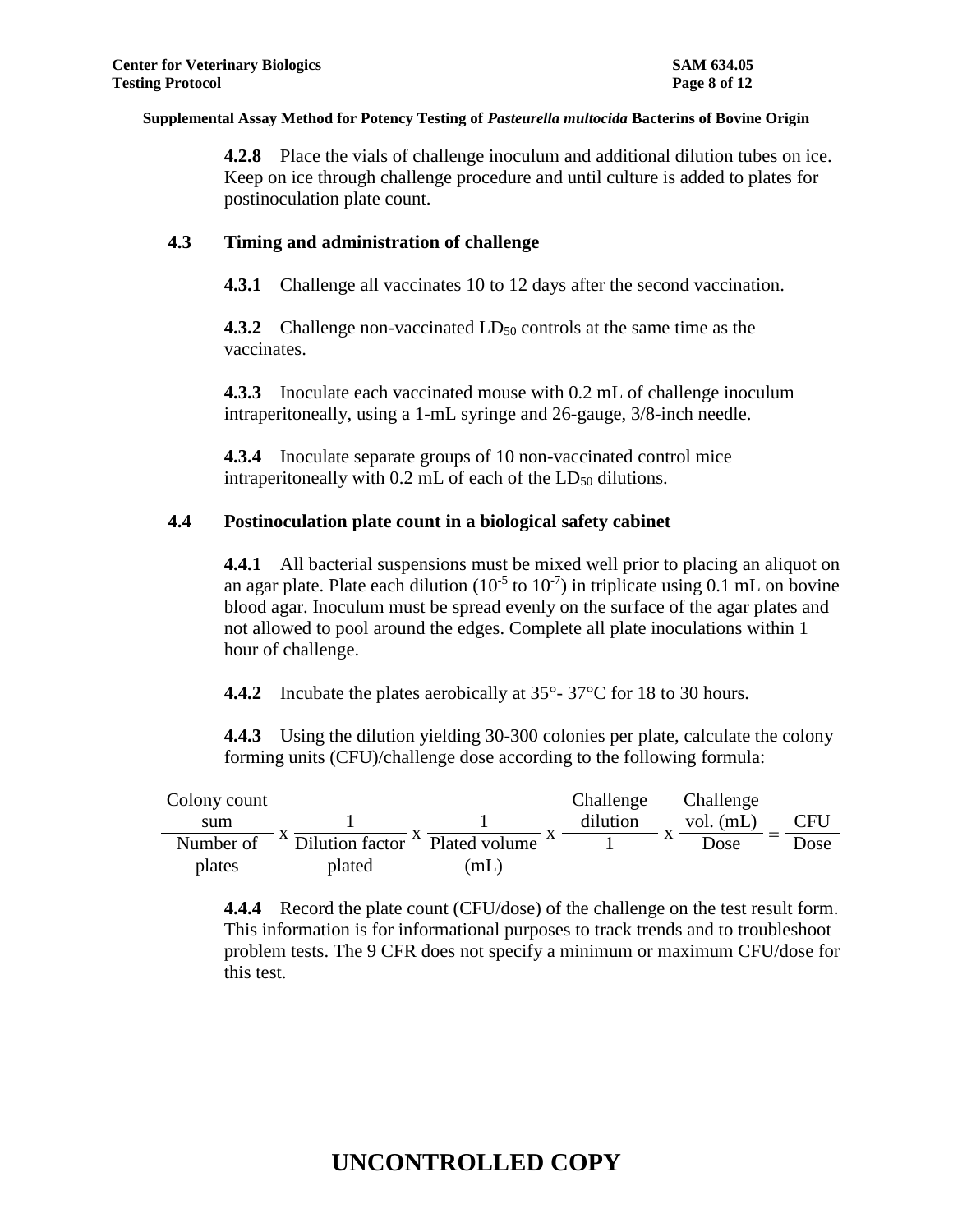**4.2.8** Place the vials of challenge inoculum and additional dilution tubes on ice. Keep on ice through challenge procedure and until culture is added to plates for postinoculation plate count.

## **4.3 Timing and administration of challenge**

**4.3.1** Challenge all vaccinates 10 to 12 days after the second vaccination.

**4.3.2** Challenge non-vaccinated LD<sub>50</sub> controls at the same time as the vaccinates.

**4.3.3** Inoculate each vaccinated mouse with 0.2 mL of challenge inoculum intraperitoneally, using a 1-mL syringe and 26-gauge, 3/8-inch needle.

**4.3.4** Inoculate separate groups of 10 non-vaccinated control mice intraperitoneally with  $0.2$  mL of each of the  $LD_{50}$  dilutions.

### **4.4 Postinoculation plate count in a biological safety cabinet**

**4.4.1** All bacterial suspensions must be mixed well prior to placing an aliquot on an agar plate. Plate each dilution  $(10^{-5}$  to  $10^{-7})$  in triplicate using 0.1 mL on bovine blood agar. Inoculum must be spread evenly on the surface of the agar plates and not allowed to pool around the edges. Complete all plate inoculations within 1 hour of challenge.

**4.4.2** Incubate the plates aerobically at 35°-37°C for 18 to 30 hours.

**4.4.3** Using the dilution yielding 30-300 colonies per plate, calculate the colony forming units (CFU)/challenge dose according to the following formula:

| Colony count |                                           |      | Challenge | Challenge         |      |
|--------------|-------------------------------------------|------|-----------|-------------------|------|
| sum          |                                           |      | dilution  | vol. $(mL)$       | CFU  |
| Number of    | Dilution factor $\triangle$ Plated volume |      |           | $\Lambda$<br>Dose | Dose |
| plates       | plated                                    | (mL) |           |                   |      |

**4.4.4** Record the plate count (CFU/dose) of the challenge on the test result form. This information is for informational purposes to track trends and to troubleshoot problem tests. The 9 CFR does not specify a minimum or maximum CFU/dose for this test.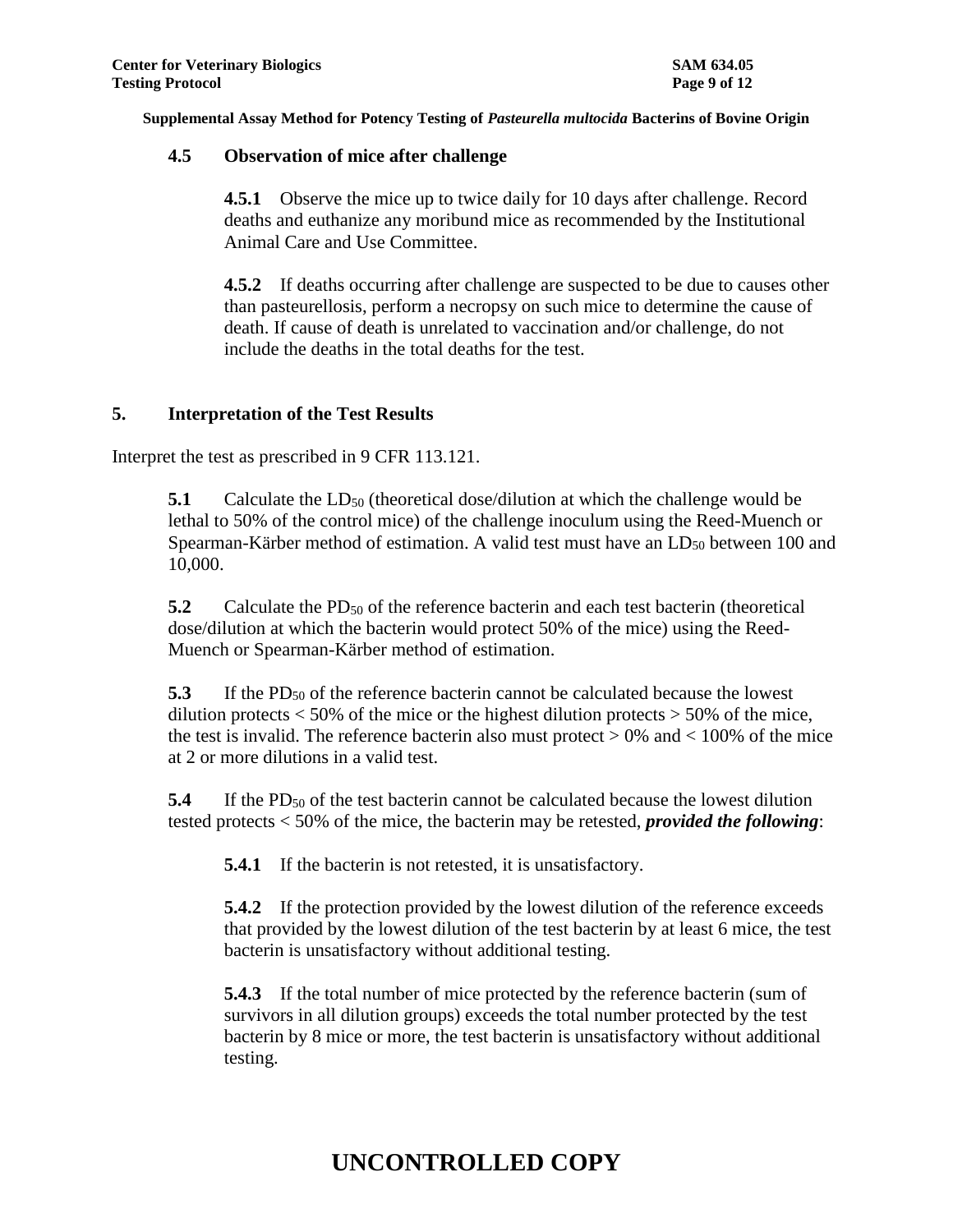## **4.5 Observation of mice after challenge**

**4.5.1** Observe the mice up to twice daily for 10 days after challenge. Record deaths and euthanize any moribund mice as recommended by the Institutional Animal Care and Use Committee.

**4.5.2** If deaths occurring after challenge are suspected to be due to causes other than pasteurellosis, perform a necropsy on such mice to determine the cause of death. If cause of death is unrelated to vaccination and/or challenge, do not include the deaths in the total deaths for the test.

## **5. Interpretation of the Test Results**

Interpret the test as prescribed in 9 CFR 113.121.

**5.1** Calculate the  $LD_{50}$  (theoretical dose/dilution at which the challenge would be lethal to 50% of the control mice) of the challenge inoculum using the Reed-Muench or Spearman-Kärber method of estimation. A valid test must have an  $LD_{50}$  between 100 and 10,000.

**5.2** Calculate the PD<sub>50</sub> of the reference bacterin and each test bacterin (theoretical dose/dilution at which the bacterin would protect 50% of the mice) using the Reed-Muench or Spearman-Kärber method of estimation.

**5.3** If the PD<sub>50</sub> of the reference bacterin cannot be calculated because the lowest dilution protects  $\lt 50\%$  of the mice or the highest dilution protects  $>50\%$  of the mice, the test is invalid. The reference bacterin also must protect  $> 0\%$  and  $< 100\%$  of the mice at 2 or more dilutions in a valid test.

**5.4** If the PD<sub>50</sub> of the test bacterin cannot be calculated because the lowest dilution tested protects < 50% of the mice, the bacterin may be retested, *provided the following*:

**5.4.1** If the bacterin is not retested, it is unsatisfactory.

**5.4.2** If the protection provided by the lowest dilution of the reference exceeds that provided by the lowest dilution of the test bacterin by at least 6 mice, the test bacterin is unsatisfactory without additional testing.

**5.4.3** If the total number of mice protected by the reference bacterin (sum of survivors in all dilution groups) exceeds the total number protected by the test bacterin by 8 mice or more, the test bacterin is unsatisfactory without additional testing.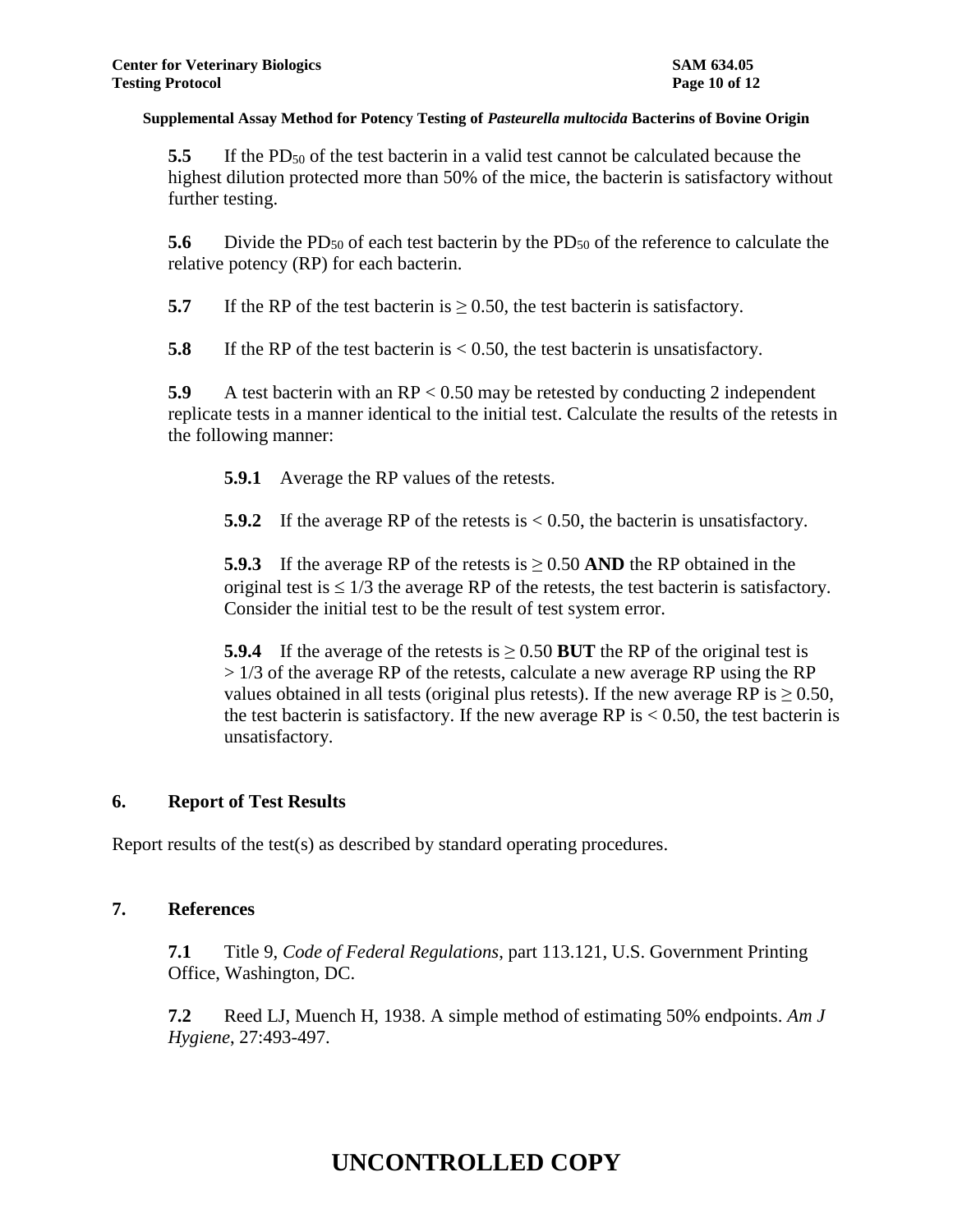**5.5** If the PD<sub>50</sub> of the test bacterin in a valid test cannot be calculated because the highest dilution protected more than 50% of the mice, the bacterin is satisfactory without further testing.

**5.6** Divide the PD<sub>50</sub> of each test bacterin by the PD<sub>50</sub> of the reference to calculate the relative potency (RP) for each bacterin.

**5.7** If the RP of the test bacterin is  $\geq$  0.50, the test bacterin is satisfactory.

**5.8** If the RP of the test bacterin is < 0.50, the test bacterin is unsatisfactory.

**5.9** A test bacterin with an RP < 0.50 may be retested by conducting 2 independent replicate tests in a manner identical to the initial test. Calculate the results of the retests in the following manner:

**5.9.1** Average the RP values of the retests.

**5.9.2** If the average RP of the retests is < 0.50, the bacterin is unsatisfactory.

**5.9.3** If the average RP of the retests is  $\geq$  0.50 AND the RP obtained in the original test is  $\leq 1/3$  the average RP of the retests, the test bacterin is satisfactory. Consider the initial test to be the result of test system error.

**5.9.4** If the average of the retests is  $> 0.50$  BUT the RP of the original test is  $> 1/3$  of the average RP of the retests, calculate a new average RP using the RP values obtained in all tests (original plus retests). If the new average RP is  $> 0.50$ , the test bacterin is satisfactory. If the new average RP is  $< 0.50$ , the test bacterin is unsatisfactory.

## **6. Report of Test Results**

Report results of the test(s) as described by standard operating procedures.

### **7. References**

**7.1** Title 9, *Code of Federal Regulations*, part 113.121, U.S. Government Printing Office, Washington, DC.

**7.2** Reed LJ, Muench H, 1938. A simple method of estimating 50% endpoints. *Am J Hygiene*, 27:493-497.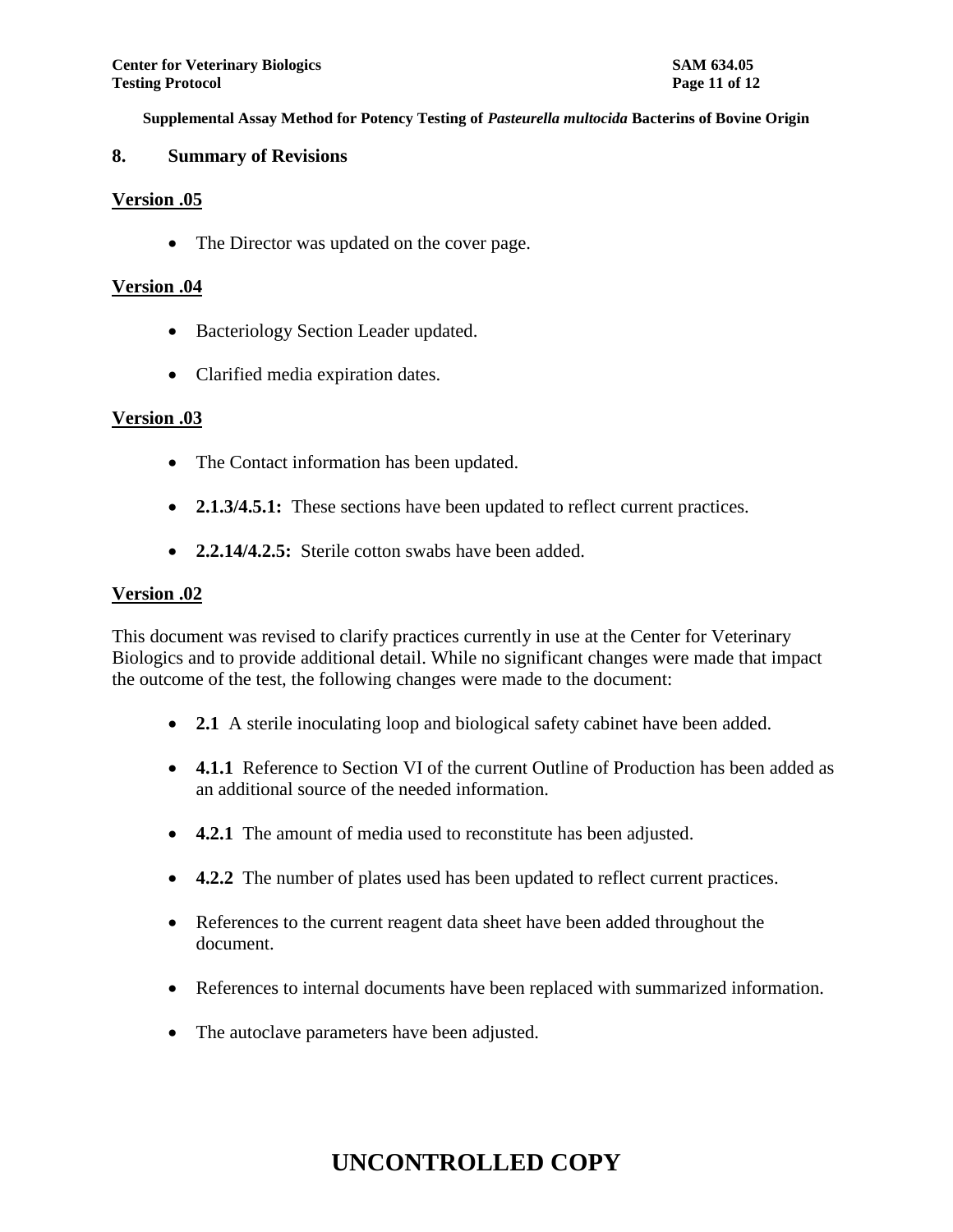### **8. Summary of Revisions**

### **Version .05**

• The Director was updated on the cover page.

### **Version .04**

- Bacteriology Section Leader updated.
- Clarified media expiration dates.

### **Version .03**

- The Contact information has been updated.
- **2.1.3/4.5.1:** These sections have been updated to reflect current practices.
- **2.2.14/4.2.5:** Sterile cotton swabs have been added.

## **Version .02**

This document was revised to clarify practices currently in use at the Center for Veterinary Biologics and to provide additional detail. While no significant changes were made that impact the outcome of the test, the following changes were made to the document:

- **2.1** A sterile inoculating loop and biological safety cabinet have been added.
- **4.1.1** Reference to Section VI of the current Outline of Production has been added as an additional source of the needed information.
- **4.2.1** The amount of media used to reconstitute has been adjusted.
- **4.2.2** The number of plates used has been updated to reflect current practices.
- References to the current reagent data sheet have been added throughout the document.
- References to internal documents have been replaced with summarized information.
- The autoclave parameters have been adjusted.